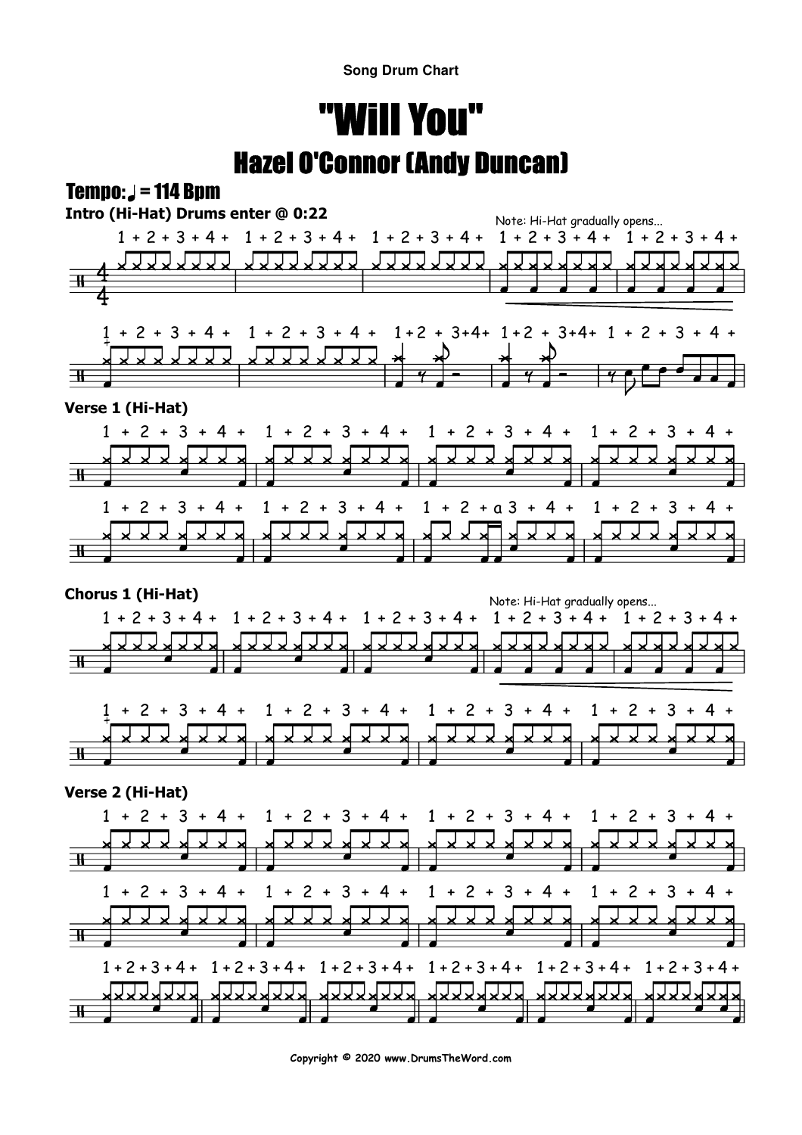**Song Drum Chart**

## "Will You"Hazel O'Connor (Andy Duncan)

## $Tempo: J = 114 Bom$



**Copyright © 2020 www.DrumsTheWord.com**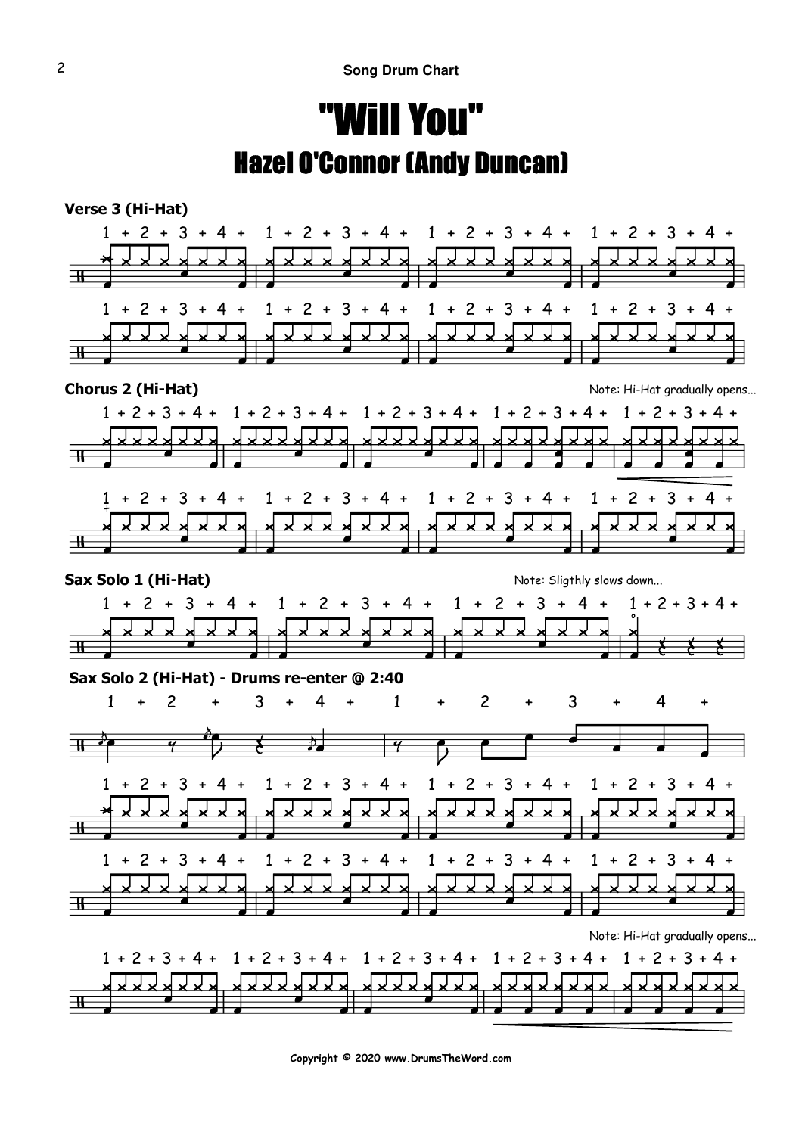## "Will You"Hazel O'Connor (Andy Duncan)



**Copyright © 2020 www.DrumsTheWord.com**